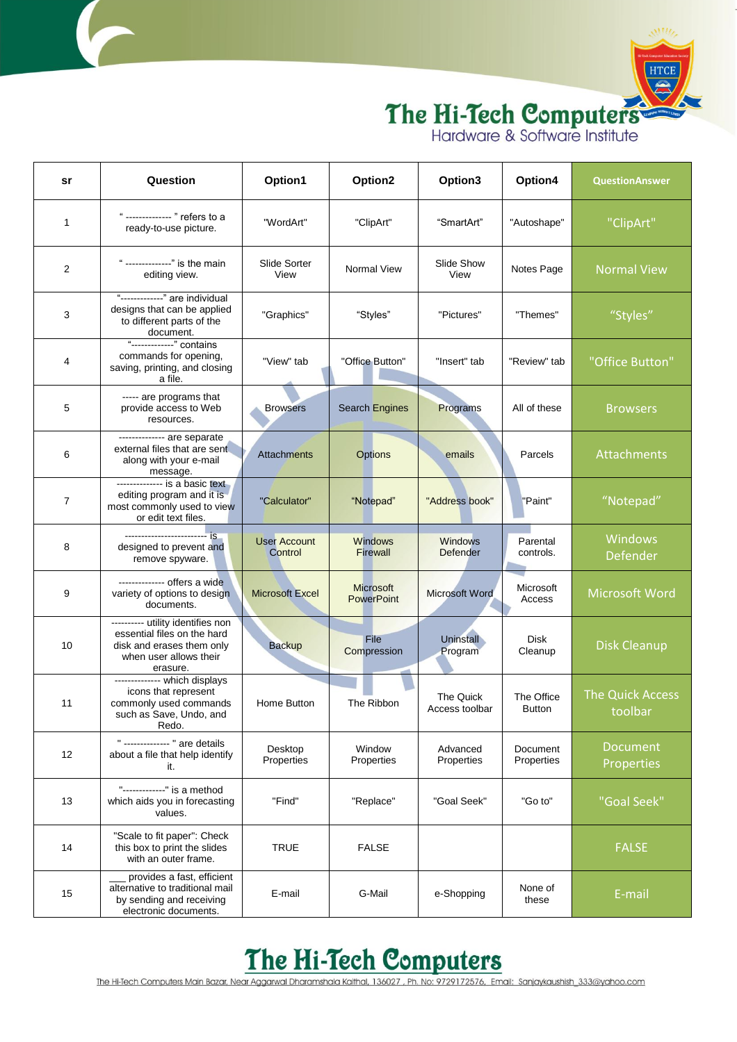

| sr | Question                                                                                                                            | Option1                        | Option2                               | Option3                     | Option4                     | <b>Question Answer</b>             |
|----|-------------------------------------------------------------------------------------------------------------------------------------|--------------------------------|---------------------------------------|-----------------------------|-----------------------------|------------------------------------|
| 1  | " -------------- " refers to a<br>ready-to-use picture.                                                                             | "WordArt"                      | "ClipArt"                             | "SmartArt"                  | "Autoshape"                 | "ClipArt"                          |
| 2  | " -------------" is the main<br>editing view.                                                                                       | Slide Sorter<br>View           | Normal View                           | Slide Show<br>View          | Notes Page                  | <b>Normal View</b>                 |
| 3  | "------------" are individual<br>designs that can be applied<br>to different parts of the<br>document.                              | "Graphics"                     | "Styles"                              | "Pictures"                  | "Themes"                    | "Styles"                           |
| 4  | "-------------" contains<br>commands for opening,<br>saving, printing, and closing<br>a file.                                       | "View" tab                     | "Office Button"                       | "Insert" tab                | "Review" tab                | "Office Button"                    |
| 5  | ----- are programs that<br>provide access to Web<br>resources.                                                                      | <b>Browsers</b>                | <b>Search Engines</b>                 | Programs                    | All of these                | <b>Browsers</b>                    |
| 6  | -------------- are separate<br>external files that are sent<br>along with your e-mail<br>message.                                   | Attachments                    | <b>Options</b>                        | emails                      | Parcels                     | Attachments                        |
| 7  | -------------- is a basic text<br>editing program and it is<br>most commonly used to view<br>or edit text files.                    | "Calculator"                   | "Notepad"                             | "Address book"              | "Paint"                     | "Notepad"                          |
| 8  | designed to prevent and<br>remove spyware.                                                                                          | <b>User Account</b><br>Control | <b>Windows</b><br><b>Firewall</b>     | <b>Windows</b><br>Defender  | Parental<br>controls.       | Windows<br>Defender                |
| 9  | ------------- offers a wide<br>variety of options to design<br>documents.                                                           | <b>Microsoft Excel</b>         | <b>Microsoft</b><br><b>PowerPoint</b> | <b>Microsoft Word</b>       | Microsoft<br>Access         | Microsoft Word                     |
| 10 | ---------- utility identifies non<br>essential files on the hard<br>disk and erases them only<br>when user allows their<br>erasure. | <b>Backup</b>                  | File<br>Compression                   | <b>Uninstall</b><br>Program | Disk<br>Cleanup             | <b>Disk Cleanup</b>                |
| 11 | ------------- which displays<br>icons that represent<br>commonly used commands<br>such as Save, Undo, and<br>Redo.                  | Home Button                    | The Ribbon                            | The Quick<br>Access toolbar | The Office<br><b>Button</b> | <b>The Quick Access</b><br>toolbar |
| 12 | " -------------- " are details<br>about a file that help identify<br>it.                                                            | Desktop<br>Properties          | Window<br>Properties                  | Advanced<br>Properties      | Document<br>Properties      | <b>Document</b><br>Properties      |
| 13 | "-------------" is a method<br>which aids you in forecasting<br>values.                                                             | "Find"                         | "Replace"                             | "Goal Seek"                 | "Go to"                     | "Goal Seek"                        |
| 14 | "Scale to fit paper": Check<br>this box to print the slides<br>with an outer frame.                                                 | <b>TRUE</b>                    | <b>FALSE</b>                          |                             |                             | <b>FALSE</b>                       |
| 15 | provides a fast, efficient<br>alternative to traditional mail<br>by sending and receiving<br>electronic documents.                  | E-mail                         | G-Mail                                | e-Shopping                  | None of<br>these            | E-mail                             |

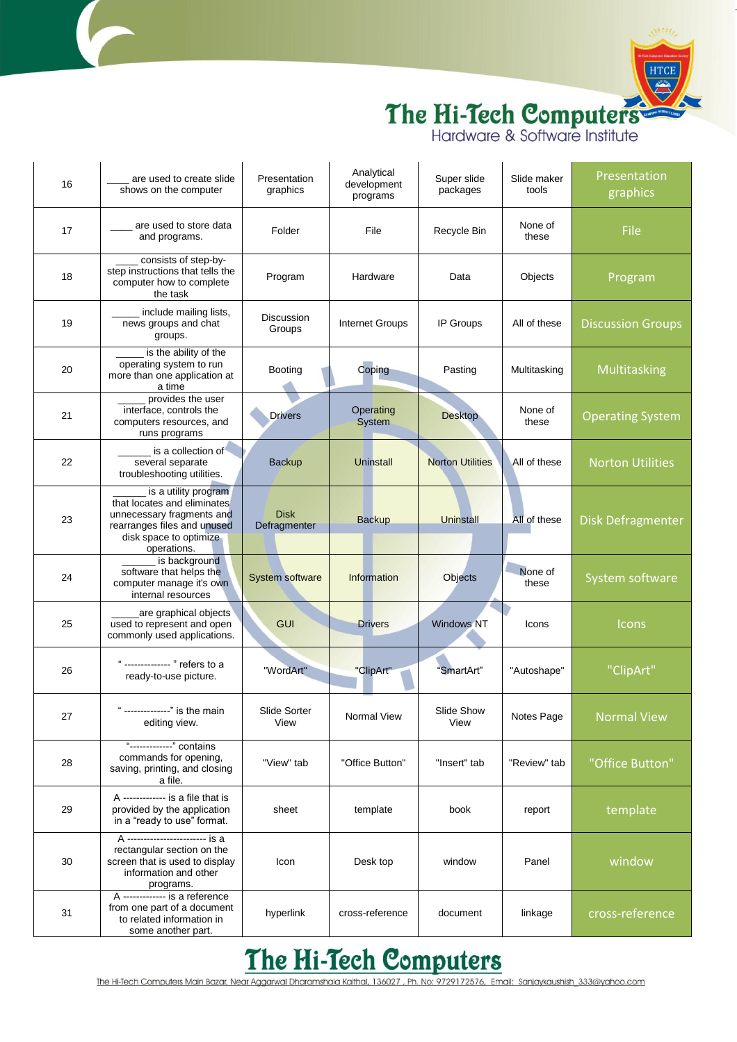

| 16 | are used to create slide<br>shows on the computer                                                                                                        | Presentation<br>graphics    | Analytical<br>development<br>programs | Super slide<br>packages | Slide maker<br>tools | Presentation<br>graphics |
|----|----------------------------------------------------------------------------------------------------------------------------------------------------------|-----------------------------|---------------------------------------|-------------------------|----------------------|--------------------------|
| 17 | are used to store data<br>and programs.                                                                                                                  | Folder                      | File                                  | Recycle Bin             | None of<br>these     | File                     |
| 18 | consists of step-by-<br>step instructions that tells the<br>computer how to complete<br>the task                                                         | Program                     | Hardware                              | Data                    | Objects              | Program                  |
| 19 | include mailing lists,<br>news groups and chat<br>groups.                                                                                                | Discussion<br>Groups        | Internet Groups                       | IP Groups               | All of these         | <b>Discussion Groups</b> |
| 20 | is the ability of the<br>operating system to run<br>more than one application at<br>a time                                                               | Booting                     | Coping                                | Pasting                 | Multitasking         | Multitasking             |
| 21 | provides the user<br>interface, controls the<br>computers resources, and<br>runs programs                                                                | <b>Drivers</b>              | Operating<br>System                   | <b>Desktop</b>          | None of<br>these     | <b>Operating System</b>  |
| 22 | is a collection of<br>several separate<br>troubleshooting utilities.                                                                                     | <b>Backup</b>               | <b>Uninstall</b>                      | <b>Norton Utilities</b> | All of these         | <b>Norton Utilities</b>  |
| 23 | is a utility program<br>that locates and eliminates<br>unnecessary fragments and<br>rearranges files and unused<br>disk space to optimize<br>operations. | <b>Disk</b><br>Defragmenter | <b>Backup</b>                         | Uninstall               | All of these         | <b>Disk Defragmenter</b> |
| 24 | is background<br>software that helps the<br>computer manage it's own<br>internal resources                                                               | System software             | Information                           | Objects                 | None of<br>these     | System software          |
| 25 | are graphical objects<br>used to represent and open<br>commonly used applications.                                                                       | <b>GUI</b>                  | <b>Drivers</b>                        | <b>Windows NT</b>       | Icons                | Icons                    |
| 26 | ------------- " refers to a<br>ready-to-use picture.                                                                                                     | "WordArt"                   | "ClipArt"                             | "SmartArt"              | "Autoshape"          | "ClipArt"                |
| 27 | " --------------" is the main<br>editing view.                                                                                                           | Slide Sorter<br>View        | Normal View                           | Slide Show<br>View      | Notes Page           | <b>Normal View</b>       |
| 28 | "-------------" contains<br>commands for opening,<br>saving, printing, and closing<br>a file.                                                            | "View" tab                  | "Office Button"                       | "Insert" tab            | "Review" tab         | "Office Button"          |
| 29 | A ------------ is a file that is<br>provided by the application<br>in a "ready to use" format.                                                           | sheet                       | template                              | book                    | report               | template                 |
| 30 | A ----------------------- is a<br>rectangular section on the<br>screen that is used to display<br>information and other<br>programs.                     | Icon                        | Desk top                              | window                  | Panel                | window                   |
| 31 | A ------------- is a reference<br>from one part of a document<br>to related information in<br>some another part.                                         | hyperlink                   | cross-reference                       | document                | linkage              | cross-reference          |

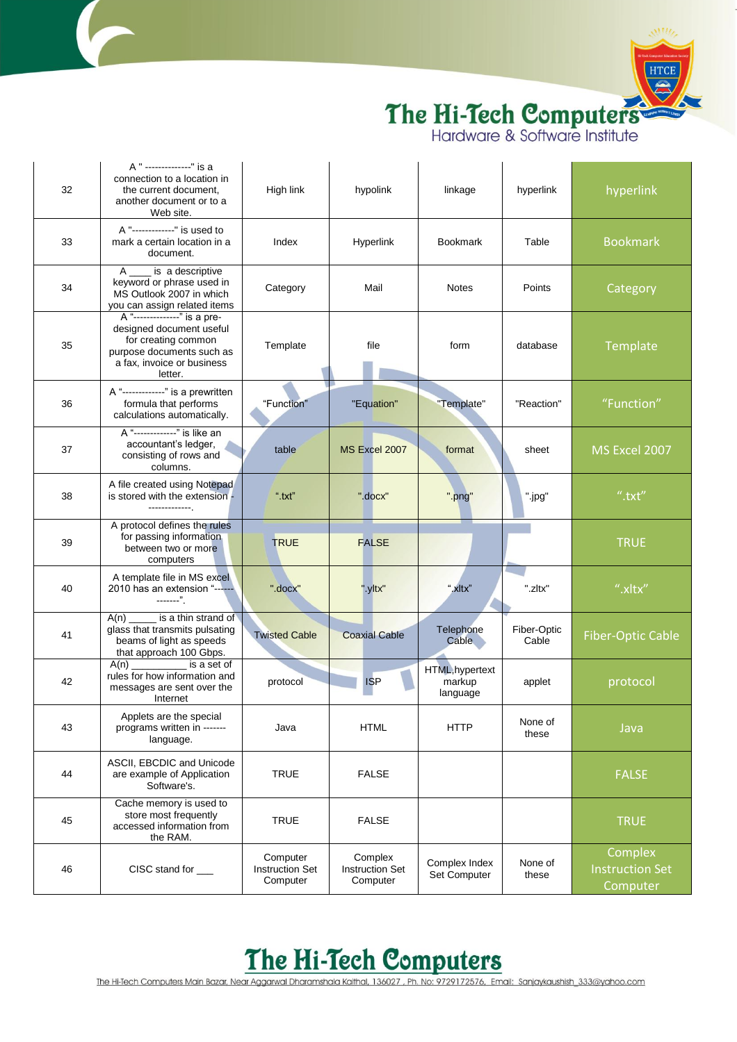

|    | A " --------------" is a                                                                                                                              |                                                |                                               |                                       |                      |                                               |
|----|-------------------------------------------------------------------------------------------------------------------------------------------------------|------------------------------------------------|-----------------------------------------------|---------------------------------------|----------------------|-----------------------------------------------|
| 32 | connection to a location in<br>the current document.<br>another document or to a<br>Web site.                                                         | High link                                      | hypolink                                      | linkage                               | hyperlink            | hyperlink                                     |
| 33 | A "-------------" is used to<br>mark a certain location in a<br>document.                                                                             | Index                                          | Hyperlink                                     | <b>Bookmark</b>                       | Table                | <b>Bookmark</b>                               |
| 34 | A _____ is a descriptive<br>keyword or phrase used in<br>MS Outlook 2007 in which<br>you can assign related items                                     | Category                                       | Mail                                          | <b>Notes</b>                          | Points               | Category                                      |
| 35 | A "--------------" is a pre-<br>designed document useful<br>for creating common<br>purpose documents such as<br>a fax, invoice or business<br>letter. | Template                                       | file                                          | form                                  | database             | Template                                      |
| 36 | A "-------------" is a prewritten<br>formula that performs<br>calculations automatically.                                                             | "Function"                                     | "Equation"                                    | "Template"                            | "Reaction"           | "Function"                                    |
| 37 | A "-------------" is like an<br>accountant's ledger,<br>consisting of rows and<br>columns.                                                            | table                                          | MS Excel 2007                                 | format                                | sheet                | MS Excel 2007                                 |
| 38 | A file created using Notepad<br>is stored with the extension -<br>--------------                                                                      | ".txt"                                         | ".docx"                                       | ".png"                                | ".jpg"               | ".txt"                                        |
| 39 | A protocol defines the rules<br>for passing information<br>between two or more<br>computers                                                           | <b>TRUE</b>                                    | <b>FALSE</b>                                  |                                       |                      | <b>TRUE</b>                                   |
| 40 | A template file in MS excel<br>2010 has an extension "------<br>-------".                                                                             | ".docx"                                        | ".yltx"                                       | ".xltx"                               | ".zltx"              | ".xltx"                                       |
| 41 | is a thin strand of<br>A(n)<br>glass that transmits pulsating<br>beams of light as speeds<br>that approach 100 Gbps.                                  | <b>Twisted Cable</b>                           | <b>Coaxial Cable</b>                          | Telephone<br>Cable                    | Fiber-Optic<br>Cable | <b>Fiber-Optic Cable</b>                      |
| 42 | A(n)<br>is a set of<br>rules for how information and<br>messages are sent over the<br>Internet                                                        | protocol                                       | <b>ISP</b>                                    | HTML, hypertext<br>markup<br>language | applet               | protocol                                      |
| 43 | Applets are the special<br>programs written in -------<br>language.                                                                                   | Java                                           | <b>HTML</b>                                   | <b>HTTP</b>                           | None of<br>these     | Java                                          |
| 44 | ASCII, EBCDIC and Unicode<br>are example of Application<br>Software's.                                                                                | <b>TRUE</b>                                    | <b>FALSE</b>                                  |                                       |                      | <b>FALSE</b>                                  |
| 45 | Cache memory is used to<br>store most frequently<br>accessed information from<br>the RAM.                                                             | <b>TRUE</b>                                    | <b>FALSE</b>                                  |                                       |                      | <b>TRUE</b>                                   |
| 46 | CISC stand for ___                                                                                                                                    | Computer<br><b>Instruction Set</b><br>Computer | Complex<br><b>Instruction Set</b><br>Computer | Complex Index<br>Set Computer         | None of<br>these     | Complex<br><b>Instruction Set</b><br>Computer |

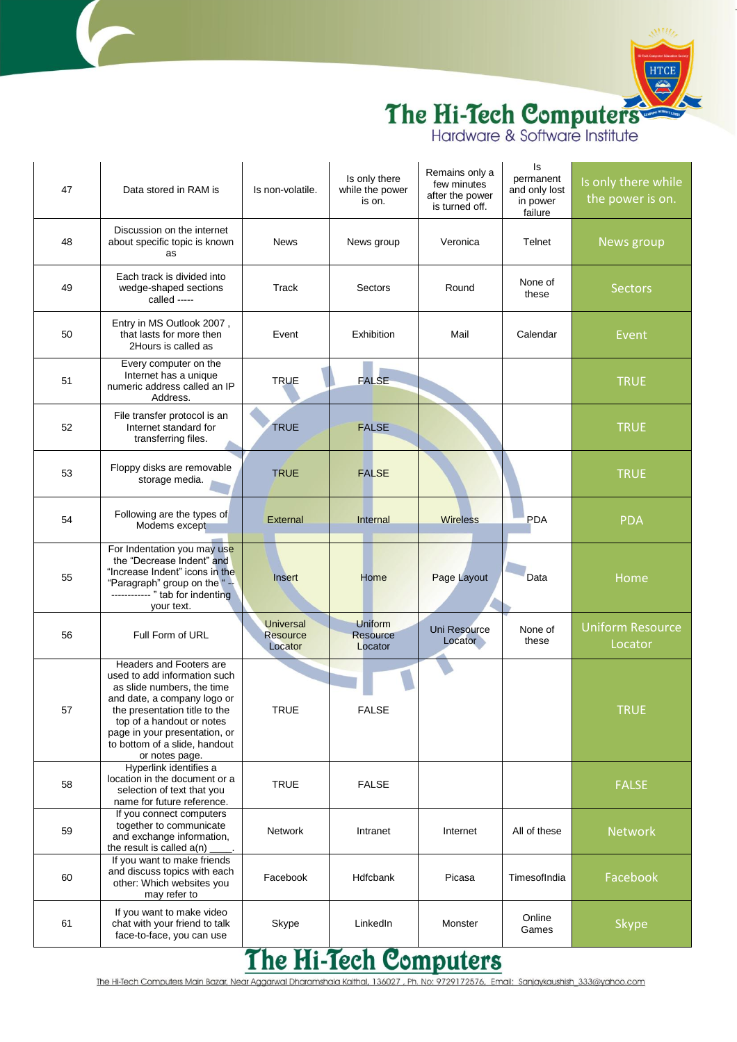

| 47 | Data stored in RAM is                                                                                                                                                                                                                                                  | Is non-volatile.                               | Is only there<br>while the power<br>is on. | Remains only a<br>few minutes<br>after the power<br>is turned off. | ls<br>permanent<br>and only lost<br>in power<br>failure | Is only there while<br>the power is on. |
|----|------------------------------------------------------------------------------------------------------------------------------------------------------------------------------------------------------------------------------------------------------------------------|------------------------------------------------|--------------------------------------------|--------------------------------------------------------------------|---------------------------------------------------------|-----------------------------------------|
| 48 | Discussion on the internet<br>about specific topic is known<br>as                                                                                                                                                                                                      | <b>News</b>                                    | News group                                 | Veronica                                                           | Telnet                                                  | News group                              |
| 49 | Each track is divided into<br>wedge-shaped sections<br>called -----                                                                                                                                                                                                    | Track                                          | Sectors                                    | Round                                                              | None of<br>these                                        | <b>Sectors</b>                          |
| 50 | Entry in MS Outlook 2007,<br>that lasts for more then<br>2Hours is called as                                                                                                                                                                                           | Event                                          | Exhibition                                 | Mail                                                               | Calendar                                                | Event                                   |
| 51 | Every computer on the<br>Internet has a unique<br>numeric address called an IP<br>Address.                                                                                                                                                                             | <b>TRUE</b>                                    | <b>FALSE</b>                               |                                                                    |                                                         | <b>TRUE</b>                             |
| 52 | File transfer protocol is an<br>Internet standard for<br>transferring files.                                                                                                                                                                                           | <b>TRUE</b>                                    | <b>FALSE</b>                               |                                                                    |                                                         | <b>TRUE</b>                             |
| 53 | Floppy disks are removable<br>storage media.                                                                                                                                                                                                                           | <b>TRUE</b>                                    | <b>FALSE</b>                               |                                                                    |                                                         | <b>TRUE</b>                             |
| 54 | Following are the types of<br>Modems except                                                                                                                                                                                                                            | External                                       | Internal                                   | <b>Wireless</b>                                                    | <b>PDA</b>                                              | <b>PDA</b>                              |
| 55 | For Indentation you may use<br>the "Decrease Indent" and<br>"Increase Indent" icons in the<br>"Paragraph" group on the "--<br>------------ " tab for indenting<br>your text.                                                                                           | Insert                                         | Home                                       | Page Layout                                                        | Data                                                    | Home                                    |
| 56 | Full Form of URL                                                                                                                                                                                                                                                       | <b>Universal</b><br><b>Resource</b><br>Locator | Uniform<br><b>Resource</b><br>Locator      | Uni Resource<br>Locator                                            | None of<br>these                                        | <b>Uniform Resource</b><br>Locator      |
| 57 | Headers and Footers are<br>used to add information such<br>as slide numbers, the time<br>and date, a company logo or<br>the presentation title to the<br>top of a handout or notes<br>page in your presentation, or<br>to bottom of a slide, handout<br>or notes page. | <b>TRUE</b>                                    | <b>FALSE</b>                               |                                                                    |                                                         | <b>TRUE</b>                             |
| 58 | Hyperlink identifies a<br>location in the document or a<br>selection of text that you<br>name for future reference.                                                                                                                                                    | <b>TRUE</b>                                    | <b>FALSE</b>                               |                                                                    |                                                         | <b>FALSE</b>                            |
| 59 | If you connect computers<br>together to communicate<br>and exchange information,<br>the result is called a(n)                                                                                                                                                          | <b>Network</b>                                 | Intranet                                   | Internet                                                           | All of these                                            | <b>Network</b>                          |
| 60 | If you want to make friends<br>and discuss topics with each<br>other: Which websites you<br>may refer to                                                                                                                                                               | Facebook                                       | <b>Hdfcbank</b>                            | Picasa                                                             | TimesofIndia                                            | Facebook                                |
| 61 | If you want to make video<br>chat with your friend to talk<br>face-to-face, you can use                                                                                                                                                                                | Skype<br>21                                    | LinkedIn<br>$H: \mathcal{F}_{\text{coh}}$  | Monster                                                            | Online<br>Games                                         | <b>Skype</b>                            |

#### <u>The Hi-Tech Computers</u>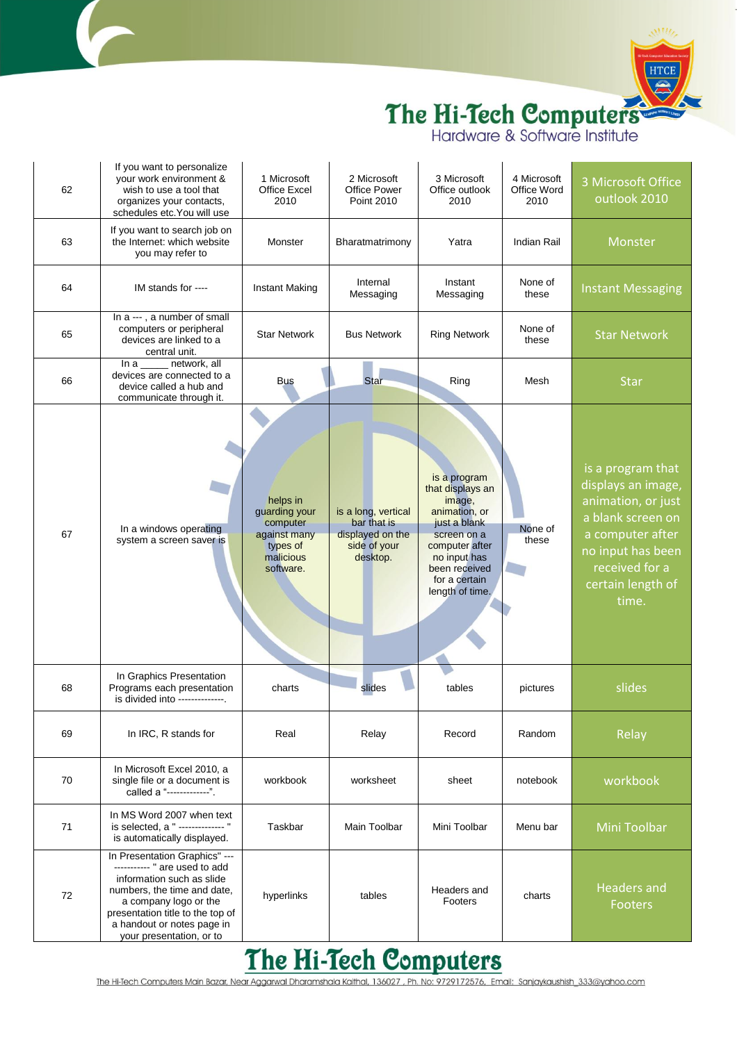

| 62 | If you want to personalize<br>your work environment &<br>wish to use a tool that<br>organizes your contacts,<br>schedules etc. You will use                                                                                                       | 1 Microsoft<br><b>Office Excel</b><br>2010                                                  | 2 Microsoft<br><b>Office Power</b><br><b>Point 2010</b>                            | 3 Microsoft<br>Office outlook<br>2010                                                                                                                                             | 4 Microsoft<br>Office Word<br>2010 | 3 Microsoft Office<br>outlook 2010                                                                                                                                          |
|----|---------------------------------------------------------------------------------------------------------------------------------------------------------------------------------------------------------------------------------------------------|---------------------------------------------------------------------------------------------|------------------------------------------------------------------------------------|-----------------------------------------------------------------------------------------------------------------------------------------------------------------------------------|------------------------------------|-----------------------------------------------------------------------------------------------------------------------------------------------------------------------------|
| 63 | If you want to search job on<br>the Internet: which website<br>you may refer to                                                                                                                                                                   | Monster                                                                                     | Bharatmatrimony                                                                    | Yatra                                                                                                                                                                             | Indian Rail                        | Monster                                                                                                                                                                     |
| 64 | IM stands for ----                                                                                                                                                                                                                                | Instant Making                                                                              | Internal<br>Messaging                                                              | Instant<br>Messaging                                                                                                                                                              | None of<br>these                   | <b>Instant Messaging</b>                                                                                                                                                    |
| 65 | In a ---, a number of small<br>computers or peripheral<br>devices are linked to a<br>central unit.                                                                                                                                                | <b>Star Network</b>                                                                         | <b>Bus Network</b>                                                                 | <b>Ring Network</b>                                                                                                                                                               | None of<br>these                   | <b>Star Network</b>                                                                                                                                                         |
| 66 | network, all<br>In a<br>devices are connected to a<br>device called a hub and<br>communicate through it.                                                                                                                                          | <b>Bus</b>                                                                                  | Star                                                                               | Ring                                                                                                                                                                              | Mesh                               | <b>Star</b>                                                                                                                                                                 |
| 67 | In a windows operating<br>system a screen saver is                                                                                                                                                                                                | helps in<br>guarding your<br>computer<br>against many<br>types of<br>malicious<br>software. | is a long, vertical<br>bar that is<br>displayed on the<br>side of your<br>desktop. | is a program<br>that displays an<br>image,<br>animation, or<br>just a blank<br>screen on a<br>computer after<br>no input has<br>been received<br>for a certain<br>length of time. | None of<br>these                   | is a program that<br>displays an image,<br>animation, or just<br>a blank screen on<br>a computer after<br>no input has been<br>received for a<br>certain length of<br>time. |
| 68 | In Graphics Presentation<br>Programs each presentation<br>is divided into --------------.                                                                                                                                                         | charts                                                                                      | slides                                                                             | tables                                                                                                                                                                            | pictures                           | slides                                                                                                                                                                      |
| 69 | In IRC, R stands for                                                                                                                                                                                                                              | Real                                                                                        | Relay                                                                              | Record                                                                                                                                                                            | Random                             | Relay                                                                                                                                                                       |
| 70 | In Microsoft Excel 2010, a<br>single file or a document is<br>called a "------------".                                                                                                                                                            | workbook                                                                                    | worksheet                                                                          | sheet                                                                                                                                                                             | notebook                           | workbook                                                                                                                                                                    |
| 71 | In MS Word 2007 when text<br>is selected, a " -------------- "<br>is automatically displayed.                                                                                                                                                     | Taskbar                                                                                     | Main Toolbar                                                                       | Mini Toolbar                                                                                                                                                                      | Menu bar                           | Mini Toolbar                                                                                                                                                                |
| 72 | In Presentation Graphics" ---<br>----------- " are used to add<br>information such as slide<br>numbers, the time and date,<br>a company logo or the<br>presentation title to the top of<br>a handout or notes page in<br>your presentation, or to | hyperlinks                                                                                  | tables                                                                             | Headers and<br>Footers                                                                                                                                                            | charts                             | <b>Headers and</b><br>Footers                                                                                                                                               |

#### The Hi-Tech Computers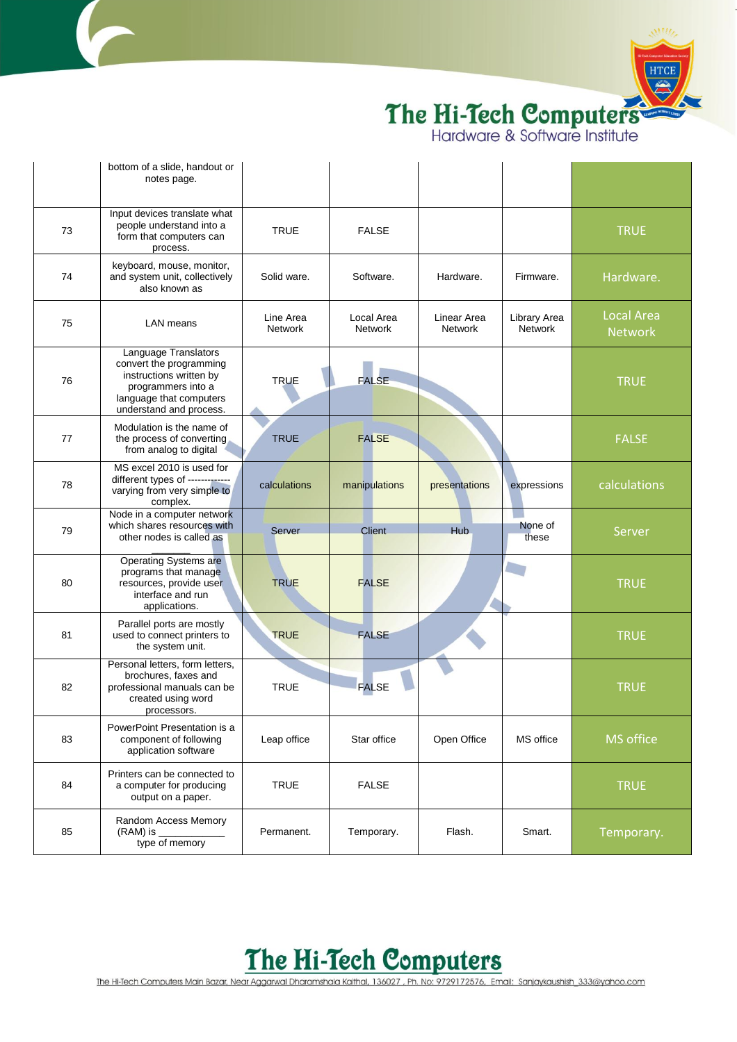

|    | bottom of a slide, handout or<br>notes page.                                                                                                           |                      |                       |                               |                         |                                     |
|----|--------------------------------------------------------------------------------------------------------------------------------------------------------|----------------------|-----------------------|-------------------------------|-------------------------|-------------------------------------|
| 73 | Input devices translate what<br>people understand into a<br>form that computers can<br>process.                                                        | <b>TRUE</b>          | <b>FALSE</b>          |                               |                         | <b>TRUE</b>                         |
| 74 | keyboard, mouse, monitor,<br>and system unit, collectively<br>also known as                                                                            | Solid ware.          | Software.             | Hardware.                     | Firmware.               | Hardware.                           |
| 75 | LAN means                                                                                                                                              | Line Area<br>Network | Local Area<br>Network | Linear Area<br><b>Network</b> | Library Area<br>Network | <b>Local Area</b><br><b>Network</b> |
| 76 | Language Translators<br>convert the programming<br>instructions written by<br>programmers into a<br>language that computers<br>understand and process. | <b>TRUE</b>          | <b>FALSE</b>          |                               |                         | <b>TRUE</b>                         |
| 77 | Modulation is the name of<br>the process of converting<br>from analog to digital                                                                       | <b>TRUE</b>          | <b>FALSE</b>          |                               |                         | <b>FALSE</b>                        |
| 78 | MS excel 2010 is used for<br>different types of -------------<br>varying from very simple to<br>complex.                                               | calculations         | manipulations         | presentations                 | expressions             | calculations                        |
| 79 | Node in a computer network<br>which shares resources with<br>other nodes is called as                                                                  | Server               | <b>Client</b>         | <b>Hub</b>                    | None of<br>these        | Server                              |
| 80 | Operating Systems are<br>programs that manage<br>resources, provide user<br>interface and run<br>applications.                                         | <b>TRUE</b>          | <b>FALSE</b>          |                               |                         | <b>TRUE</b>                         |
| 81 | Parallel ports are mostly<br>used to connect printers to<br>the system unit.                                                                           | <b>TRUE</b>          | <b>FALSE</b>          |                               |                         | <b>TRUE</b>                         |
| 82 | Personal letters, form letters,<br>brochures, faxes and<br>professional manuals can be<br>created using word<br>processors.                            | <b>TRUE</b>          | <b>FALSE</b>          |                               |                         | <b>TRUE</b>                         |
| 83 | PowerPoint Presentation is a<br>component of following<br>application software                                                                         | Leap office          | Star office           | Open Office                   | MS office               | <b>MS</b> office                    |
| 84 | Printers can be connected to<br>a computer for producing<br>output on a paper.                                                                         | <b>TRUE</b>          | <b>FALSE</b>          |                               |                         | <b>TRUE</b>                         |
| 85 | Random Access Memory<br>$(RAM)$ is<br>type of memory                                                                                                   | Permanent.           | Temporary.            | Flash.                        | Smart.                  | Temporary.                          |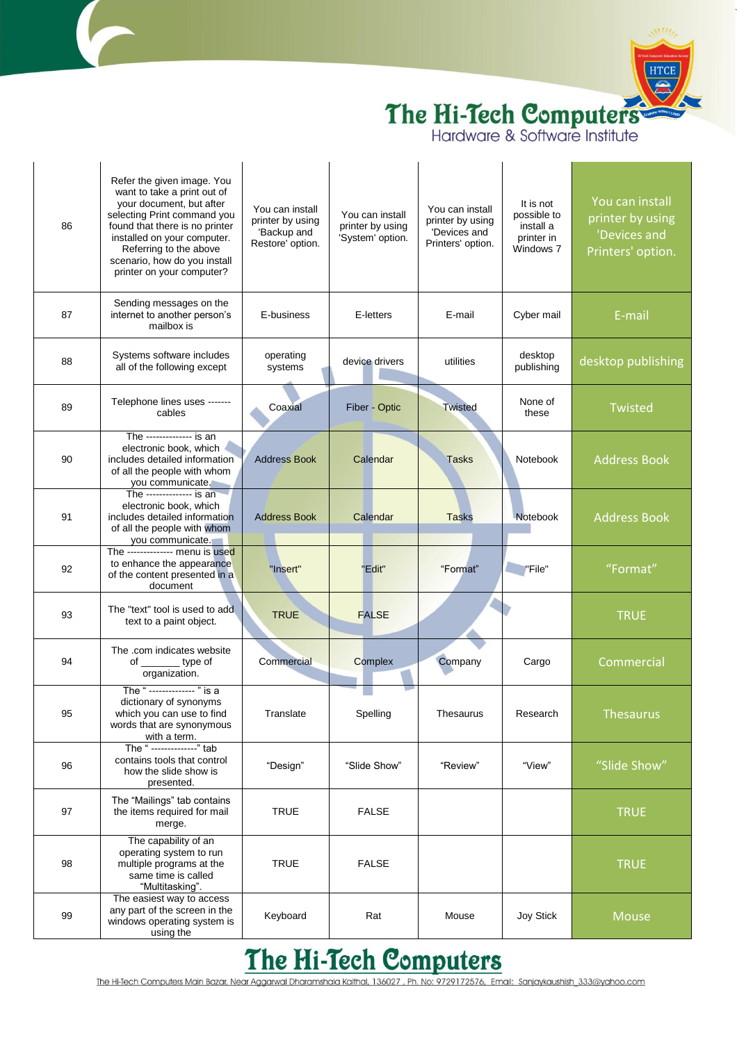

| 86 | Refer the given image. You<br>want to take a print out of<br>your document, but after<br>selecting Print command you<br>found that there is no printer<br>installed on your computer.<br>Referring to the above<br>scenario, how do you install<br>printer on your computer? | You can install<br>printer by using<br>'Backup and<br>Restore' option. | You can install<br>printer by using<br>'System' option. | You can install<br>printer by using<br>'Devices and<br>Printers' option. | It is not<br>possible to<br>install a<br>printer in<br>Windows 7 | You can install<br>printer by using<br>'Devices and<br>Printers' option. |
|----|------------------------------------------------------------------------------------------------------------------------------------------------------------------------------------------------------------------------------------------------------------------------------|------------------------------------------------------------------------|---------------------------------------------------------|--------------------------------------------------------------------------|------------------------------------------------------------------|--------------------------------------------------------------------------|
| 87 | Sending messages on the<br>internet to another person's<br>mailbox is                                                                                                                                                                                                        | E-business                                                             | E-letters                                               | E-mail                                                                   | Cyber mail                                                       | E-mail                                                                   |
| 88 | Systems software includes<br>all of the following except                                                                                                                                                                                                                     | operating<br>systems                                                   | device drivers                                          | utilities                                                                | desktop<br>publishing                                            | desktop publishing                                                       |
| 89 | Telephone lines uses -------<br>cables                                                                                                                                                                                                                                       | Coaxial                                                                | Fiber - Optic                                           | <b>Twisted</b>                                                           | None of<br>these                                                 | Twisted                                                                  |
| 90 | The -------------- is an<br>electronic book, which<br>includes detailed information<br>of all the people with whom<br>you communicate.                                                                                                                                       | <b>Address Book</b>                                                    | Calendar                                                | <b>Tasks</b>                                                             | Notebook                                                         | <b>Address Book</b>                                                      |
| 91 | The -------------- is an<br>electronic book, which<br>includes detailed information<br>of all the people with whom<br>you communicate.                                                                                                                                       | <b>Address Book</b>                                                    | Calendar                                                | <b>Tasks</b>                                                             | <b>Notebook</b>                                                  | <b>Address Book</b>                                                      |
| 92 | The -------------- menu is used<br>to enhance the appearance<br>of the content presented in a<br>document                                                                                                                                                                    | "Insert"                                                               | "Edit"                                                  | "Format"                                                                 | "File"                                                           | "Format"                                                                 |
| 93 | The "text" tool is used to add<br>text to a paint object.                                                                                                                                                                                                                    | <b>TRUE</b>                                                            | <b>FALSE</b>                                            |                                                                          |                                                                  | <b>TRUE</b>                                                              |
| 94 | The .com indicates website<br>of __________ type of<br>organization.                                                                                                                                                                                                         | Commercial                                                             | Complex                                                 | Company                                                                  | Cargo                                                            | Commercial                                                               |
| 95 | The " ------------- " is a<br>dictionary of synonyms<br>which you can use to find<br>words that are synonymous<br>with a term.                                                                                                                                               | Translate                                                              | Spelling                                                | Thesaurus                                                                | Research                                                         | <b>Thesaurus</b>                                                         |
| 96 | The " -------------" tab<br>contains tools that control<br>how the slide show is<br>presented.                                                                                                                                                                               | "Design"                                                               | "Slide Show"                                            | "Review"                                                                 | "View"                                                           | "Slide Show"                                                             |
| 97 | The "Mailings" tab contains<br>the items required for mail<br>merge.                                                                                                                                                                                                         | <b>TRUE</b>                                                            | <b>FALSE</b>                                            |                                                                          |                                                                  | <b>TRUE</b>                                                              |
| 98 | The capability of an<br>operating system to run<br>multiple programs at the<br>same time is called<br>"Multitasking".                                                                                                                                                        | <b>TRUE</b>                                                            | <b>FALSE</b>                                            |                                                                          |                                                                  | <b>TRUE</b>                                                              |
| 99 | The easiest way to access<br>any part of the screen in the<br>windows operating system is<br>using the                                                                                                                                                                       | Keyboard                                                               | Rat                                                     | Mouse                                                                    | Joy Stick                                                        | <b>Mouse</b>                                                             |

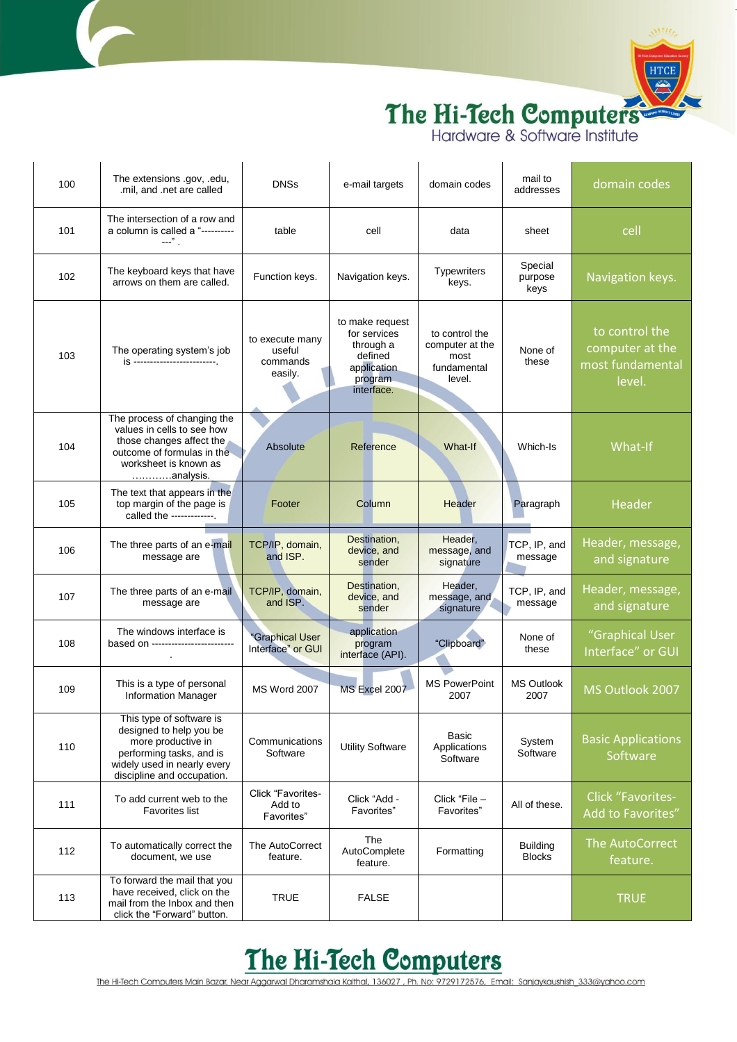

| 100 | The extensions .gov, .edu,<br>.mil, and .net are called                                                                                                            | <b>DNSs</b>                                      | e-mail targets                                                                                  | domain codes                                                       | mail to<br>addresses             | domain codes                                                    |
|-----|--------------------------------------------------------------------------------------------------------------------------------------------------------------------|--------------------------------------------------|-------------------------------------------------------------------------------------------------|--------------------------------------------------------------------|----------------------------------|-----------------------------------------------------------------|
| 101 | The intersection of a row and<br>a column is called a "----------<br>$---$ ".                                                                                      | table                                            | cell                                                                                            | data                                                               | sheet                            | cell                                                            |
| 102 | The keyboard keys that have<br>arrows on them are called.                                                                                                          | Function keys.                                   | Navigation keys.                                                                                | Typewriters<br>keys.                                               | Special<br>purpose<br>keys       | Navigation keys.                                                |
| 103 | The operating system's job<br>is ---------------------------                                                                                                       | to execute many<br>useful<br>commands<br>easily. | to make request<br>for services<br>through a<br>defined<br>application<br>program<br>interface. | to control the<br>computer at the<br>most<br>fundamental<br>level. | None of<br>these                 | to control the<br>computer at the<br>most fundamental<br>level. |
| 104 | The process of changing the<br>values in cells to see how<br>those changes affect the<br>outcome of formulas in the<br>worksheet is known as<br>analysis.          | Absolute                                         | Reference                                                                                       | What-If                                                            | Which-Is                         | What-If                                                         |
| 105 | The text that appears in the<br>top margin of the page is<br>called the ------------.                                                                              | Footer                                           | Column                                                                                          | Header                                                             | Paragraph                        | Header                                                          |
| 106 | The three parts of an e-mail<br>message are                                                                                                                        | TCP/IP, domain,<br>and ISP.                      | Destination,<br>device, and<br>sender                                                           | Header,<br>message, and<br>signature                               | TCP, IP, and<br>message          | Header, message,<br>and signature                               |
| 107 | The three parts of an e-mail<br>message are                                                                                                                        | TCP/IP, domain,<br>and ISP.                      | Destination,<br>device, and<br>sender                                                           | Header,<br>message, and<br>signature                               | TCP, IP, and<br>message          | Header, message,<br>and signature                               |
| 108 | The windows interface is<br>based on -------------------------                                                                                                     | "Graphical User<br>Interface" or GUI             | application<br>program<br>interface (API).                                                      | "Clipboard"                                                        | None of<br>these                 | "Graphical User<br>Interface" or GUI                            |
| 109 | This is a type of personal<br>Information Manager                                                                                                                  | <b>MS Word 2007</b>                              | MS Excel 2007                                                                                   | <b>MS PowerPoint</b><br>2007                                       | MS Outlook<br>2007               | MS Outlook 2007                                                 |
| 110 | This type of software is<br>designed to help you be<br>more productive in<br>performing tasks, and is<br>widely used in nearly every<br>discipline and occupation. | Communications<br>Software                       | <b>Utility Software</b>                                                                         | Basic<br>Applications<br>Software                                  | System<br>Software               | <b>Basic Applications</b><br>Software                           |
| 111 | To add current web to the<br><b>Favorites list</b>                                                                                                                 | Click "Favorites-<br>Add to<br>Favorites"        | Click "Add -<br>Favorites"                                                                      | Click "File -<br>Favorites"                                        | All of these.                    | <b>Click "Favorites-</b><br>Add to Favorites"                   |
| 112 | To automatically correct the<br>document, we use                                                                                                                   | The AutoCorrect<br>feature.                      | The<br>AutoComplete<br>feature.                                                                 | Formatting                                                         | <b>Building</b><br><b>Blocks</b> | The AutoCorrect<br>feature.                                     |
| 113 | To forward the mail that you<br>have received, click on the<br>mail from the Inbox and then<br>click the "Forward" button.                                         | <b>TRUE</b>                                      | <b>FALSE</b>                                                                                    |                                                                    |                                  | <b>TRUE</b>                                                     |

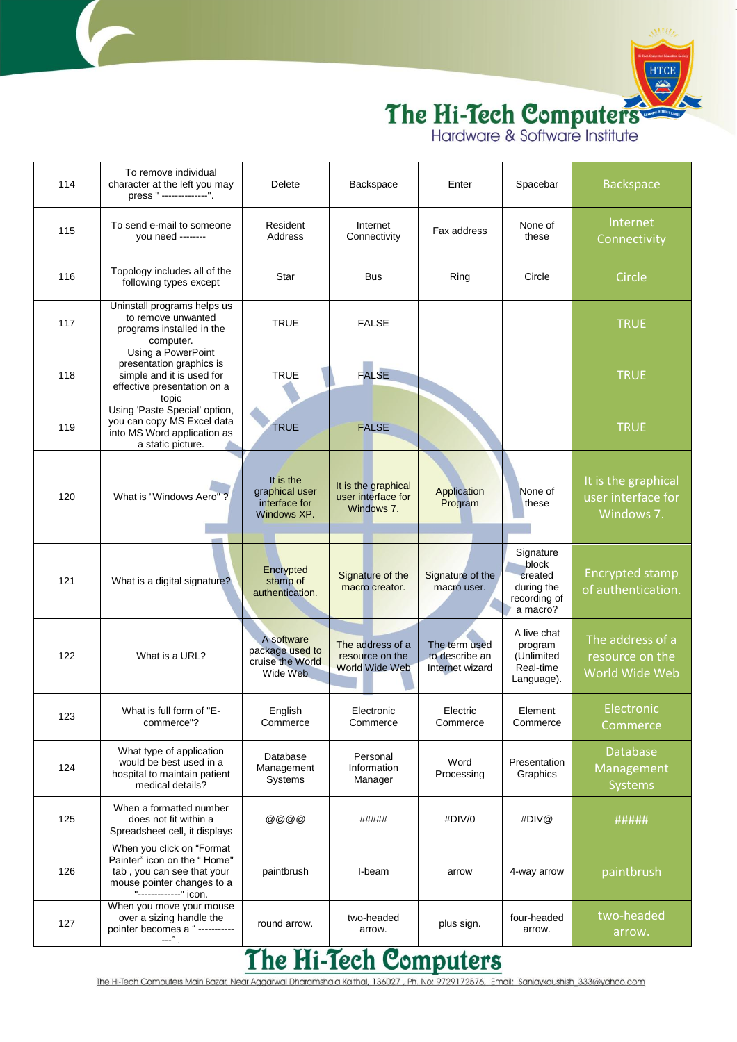

| 114 | To remove individual<br>character at the left you may<br>press " --------------".                                                             | Delete                                                        | Backspace                                                    | Enter                                              | Spacebar                                                                | <b>Backspace</b>                                        |
|-----|-----------------------------------------------------------------------------------------------------------------------------------------------|---------------------------------------------------------------|--------------------------------------------------------------|----------------------------------------------------|-------------------------------------------------------------------------|---------------------------------------------------------|
| 115 | To send e-mail to someone<br>vou need --------                                                                                                | Resident<br>Address                                           | Internet<br>Connectivity                                     | Fax address                                        | None of<br>these                                                        | Internet<br>Connectivity                                |
| 116 | Topology includes all of the<br>following types except                                                                                        | Star                                                          | <b>Bus</b>                                                   | Ring                                               | Circle                                                                  | Circle                                                  |
| 117 | Uninstall programs helps us<br>to remove unwanted<br>programs installed in the<br>computer.                                                   | TRUE                                                          | <b>FALSE</b>                                                 |                                                    |                                                                         | <b>TRUE</b>                                             |
| 118 | Using a PowerPoint<br>presentation graphics is<br>simple and it is used for<br>effective presentation on a<br>topic                           | <b>TRUE</b>                                                   | <b>FALSE</b>                                                 |                                                    |                                                                         | <b>TRUE</b>                                             |
| 119 | Using 'Paste Special' option,<br>you can copy MS Excel data<br>into MS Word application as<br>a static picture.                               | <b>TRUE</b>                                                   | <b>FALSE</b>                                                 |                                                    |                                                                         | <b>TRUE</b>                                             |
| 120 | What is "Windows Aero"?                                                                                                                       | It is the<br>graphical user<br>interface for<br>Windows XP.   | It is the graphical<br>user interface for<br>Windows 7.      | Application<br>Program                             | None of<br>these                                                        | It is the graphical<br>user interface for<br>Windows 7. |
| 121 | What is a digital signature?                                                                                                                  | Encrypted<br>stamp of<br>authentication.                      | Signature of the<br>macro creator.                           | Signature of the<br>macro user.                    | Signature<br>block<br>created<br>during the<br>recording of<br>a macro? | <b>Encrypted stamp</b><br>of authentication.            |
| 122 | What is a URL?                                                                                                                                | A software<br>package used to<br>cruise the World<br>Wide Web | The address of a<br>resource on the<br><b>World Wide Web</b> | The term used<br>to describe an<br>Internet wizard | A live chat<br>program<br>(Unlimited<br>Real-time<br>Language).         | The address of a<br>resource on the<br>World Wide Web   |
| 123 | What is full form of "E-<br>commerce"?                                                                                                        | English<br>Commerce                                           | Electronic<br>Commerce                                       | Electric<br>Commerce                               | Element<br>Commerce                                                     | Electronic<br>Commerce                                  |
| 124 | What type of application<br>would be best used in a<br>hospital to maintain patient<br>medical details?                                       | Database<br>Management<br>Systems                             | Personal<br>Information<br>Manager                           | Word<br>Processing                                 | Presentation<br>Graphics                                                | <b>Database</b><br>Management<br><b>Systems</b>         |
| 125 | When a formatted number<br>does not fit within a<br>Spreadsheet cell, it displays                                                             | 0000                                                          | #####                                                        | #DIV/0                                             | #DIV@                                                                   | #####                                                   |
| 126 | When you click on "Format<br>Painter" icon on the "Home"<br>tab, you can see that your<br>mouse pointer changes to a<br>"-------------" icon. | paintbrush                                                    | I-beam                                                       | arrow                                              | 4-way arrow                                                             | paintbrush                                              |
| 127 | When you move your mouse<br>over a sizing handle the<br>pointer becomes a " -----------<br>---"                                               | round arrow.<br>AV 1<br>YY.                                   | two-headed<br>arrow.                                         | plus sign.                                         | four-headed<br>arrow.                                                   | two-headed<br>arrow.                                    |

#### **The Hi-Tech Computers**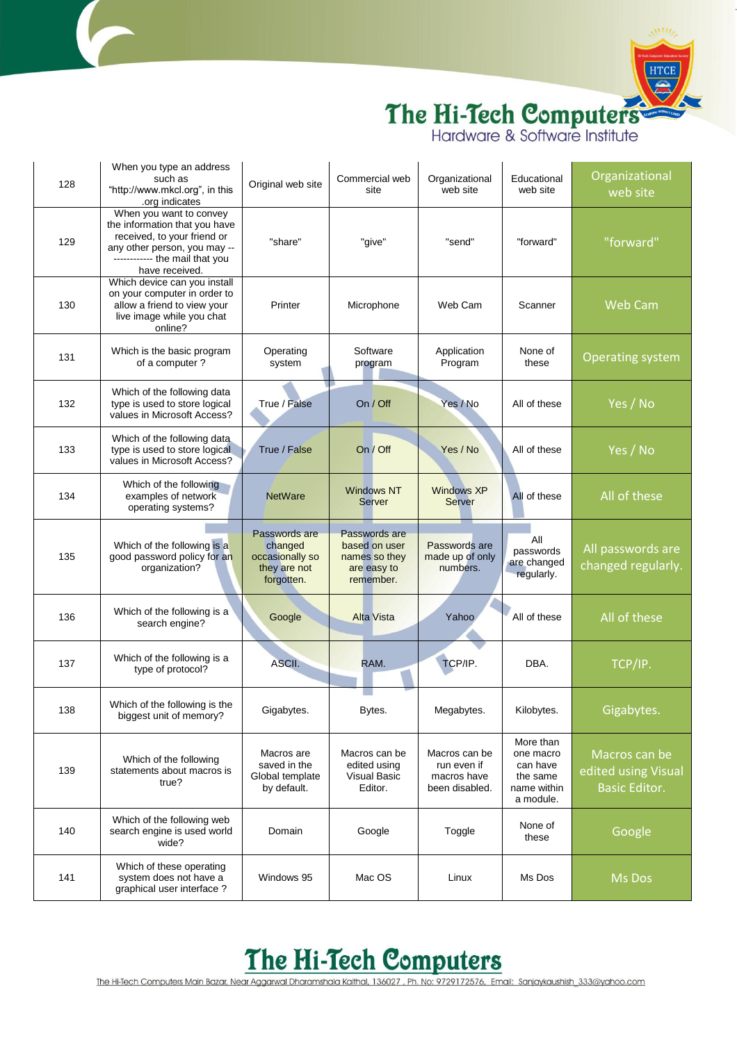

| 128 | When you type an address<br>such as<br>"http://www.mkcl.org", in this<br>.org indicates                                                                                     | Original web site                                                         | Commercial web<br>site                                                      | Organizational<br>web site                                    | Educational<br>web site                                                    | Organizational<br>web site                                   |
|-----|-----------------------------------------------------------------------------------------------------------------------------------------------------------------------------|---------------------------------------------------------------------------|-----------------------------------------------------------------------------|---------------------------------------------------------------|----------------------------------------------------------------------------|--------------------------------------------------------------|
| 129 | When you want to convey<br>the information that you have<br>received, to your friend or<br>any other person, you may --<br>------------ the mail that you<br>have received. | "share"                                                                   | "give"                                                                      | "send"                                                        | "forward"                                                                  | "forward"                                                    |
| 130 | Which device can you install<br>on your computer in order to<br>allow a friend to view your<br>live image while you chat<br>online?                                         | Printer                                                                   | Microphone                                                                  | Web Cam                                                       | Scanner                                                                    | <b>Web Cam</b>                                               |
| 131 | Which is the basic program<br>of a computer?                                                                                                                                | Operating<br>system                                                       | Software<br>program                                                         | Application<br>Program                                        | None of<br>these                                                           | <b>Operating system</b>                                      |
| 132 | Which of the following data<br>type is used to store logical<br>values in Microsoft Access?                                                                                 | True / False                                                              | On / Off                                                                    | Yes / No                                                      | All of these                                                               | Yes / No                                                     |
| 133 | Which of the following data<br>type is used to store logical<br>values in Microsoft Access?                                                                                 | True / False                                                              | On / Off                                                                    | Yes / No                                                      | All of these                                                               | Yes / No                                                     |
| 134 | Which of the following<br>examples of network<br>operating systems?                                                                                                         | <b>NetWare</b>                                                            | <b>Windows NT</b><br><b>Server</b>                                          | <b>Windows XP</b><br><b>Server</b>                            | All of these                                                               | All of these                                                 |
| 135 | Which of the following is a<br>good password policy for an<br>organization?                                                                                                 | Passwords are<br>changed<br>occasionally so<br>they are not<br>forgotten. | Passwords are<br>based on user<br>names so they<br>are easy to<br>remember. | Passwords are<br>made up of only<br>numbers.                  | All<br>passwords<br>are changed<br>regularly.                              | All passwords are<br>changed regularly.                      |
| 136 | Which of the following is a<br>search engine?                                                                                                                               | Google                                                                    | <b>Alta Vista</b>                                                           | Yahoo                                                         | All of these                                                               | All of these                                                 |
| 137 | Which of the following is a<br>type of protocol?                                                                                                                            | ASCII.                                                                    | RAM.                                                                        | TCP/IP.                                                       | DBA.                                                                       | TCP/IP.                                                      |
| 138 | Which of the following is the<br>biggest unit of memory?                                                                                                                    | Gigabytes.                                                                | Bytes.                                                                      | Megabytes.                                                    | Kilobytes.                                                                 | Gigabytes.                                                   |
| 139 | Which of the following<br>statements about macros is<br>true?                                                                                                               | Macros are<br>saved in the<br>Global template<br>by default.              | Macros can be<br>edited using<br><b>Visual Basic</b><br>Editor.             | Macros can be<br>run even if<br>macros have<br>been disabled. | More than<br>one macro<br>can have<br>the same<br>name within<br>a module. | Macros can be<br>edited using Visual<br><b>Basic Editor.</b> |
| 140 | Which of the following web<br>search engine is used world<br>wide?                                                                                                          | Domain                                                                    | Google                                                                      | Toggle                                                        | None of<br>these                                                           | Google                                                       |
| 141 | Which of these operating<br>system does not have a<br>graphical user interface?                                                                                             | Windows 95                                                                | Mac OS                                                                      | Linux                                                         | Ms Dos                                                                     | Ms Dos                                                       |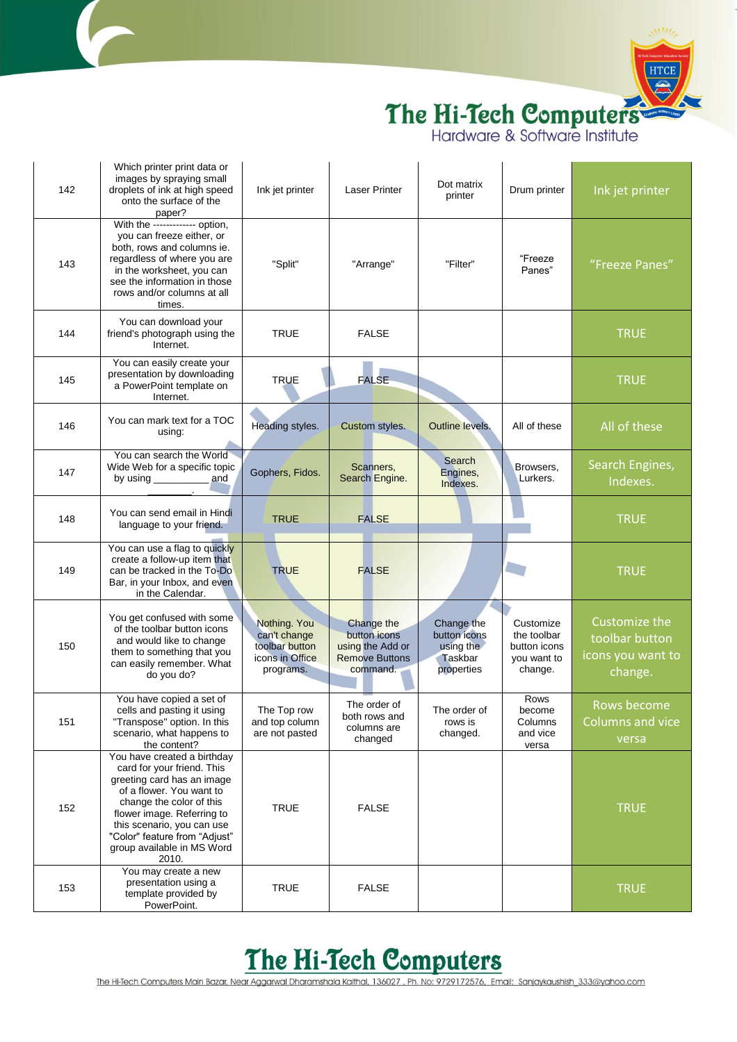

| 142 | Which printer print data or<br>images by spraying small<br>droplets of ink at high speed<br>onto the surface of the<br>paper?                                                                                                                                                       | Ink jet printer                                                                | Laser Printer                                                                       | Dot matrix<br>printer                                            | Drum printer                                                       | Ink jet printer                                                 |
|-----|-------------------------------------------------------------------------------------------------------------------------------------------------------------------------------------------------------------------------------------------------------------------------------------|--------------------------------------------------------------------------------|-------------------------------------------------------------------------------------|------------------------------------------------------------------|--------------------------------------------------------------------|-----------------------------------------------------------------|
| 143 | With the ------------ option,<br>you can freeze either, or<br>both, rows and columns ie.<br>regardless of where you are<br>in the worksheet, you can<br>see the information in those<br>rows and/or columns at all<br>times.                                                        | "Split"                                                                        | "Arrange"                                                                           | "Filter"                                                         | "Freeze<br>Panes"                                                  | "Freeze Panes"                                                  |
| 144 | You can download your<br>friend's photograph using the<br>Internet.                                                                                                                                                                                                                 | <b>TRUE</b>                                                                    | <b>FALSE</b>                                                                        |                                                                  |                                                                    | <b>TRUE</b>                                                     |
| 145 | You can easily create your<br>presentation by downloading<br>a PowerPoint template on<br>Internet.                                                                                                                                                                                  | <b>TRUE</b>                                                                    | <b>FALSE</b>                                                                        |                                                                  |                                                                    | <b>TRUE</b>                                                     |
| 146 | You can mark text for a TOC<br>using:                                                                                                                                                                                                                                               | Heading styles.                                                                | Custom styles.                                                                      | Outline levels.                                                  | All of these                                                       | All of these                                                    |
| 147 | You can search the World<br>Wide Web for a specific topic<br>by using $\frac{1}{2}$ and                                                                                                                                                                                             | Gophers, Fidos.                                                                | Scanners,<br>Search Engine.                                                         | Search<br>Engines,<br>Indexes.                                   | Browsers,<br>Lurkers.                                              | Search Engines,<br>Indexes.                                     |
| 148 | You can send email in Hindi<br>language to your friend.                                                                                                                                                                                                                             | <b>TRUE</b>                                                                    | <b>FALSE</b>                                                                        |                                                                  |                                                                    | <b>TRUE</b>                                                     |
| 149 | You can use a flag to quickly<br>create a follow-up item that<br>can be tracked in the To-Do<br>Bar, in your Inbox, and even<br>in the Calendar.                                                                                                                                    | <b>TRUE</b>                                                                    | <b>FALSE</b>                                                                        |                                                                  |                                                                    | <b>TRUE</b>                                                     |
| 150 | You get confused with some<br>of the toolbar button icons<br>and would like to change<br>them to something that you<br>can easily remember. What<br>do you do?                                                                                                                      | Nothing. You<br>can't change<br>toolbar button<br>icons in Office<br>programs. | Change the<br>button icons<br>using the Add or<br><b>Remove Buttons</b><br>command. | Change the<br>button icons<br>using the<br>Taskbar<br>properties | Customize<br>the toolbar<br>button icons<br>you want to<br>change. | Customize the<br>toolbar button<br>icons you want to<br>change. |
| 151 | You have copied a set of<br>cells and pasting it using<br>"Transpose" option. In this<br>scenario, what happens to<br>the content?                                                                                                                                                  | The Top row<br>and top column<br>are not pasted                                | The order of<br>both rows and<br>columns are<br>changed                             | The order of<br>rows is<br>changed.                              | Rows<br>become<br>Columns<br>and vice<br>versa                     | Rows become<br><b>Columns and vice</b><br>versa                 |
| 152 | You have created a birthday<br>card for your friend. This<br>greeting card has an image<br>of a flower. You want to<br>change the color of this<br>flower image. Referring to<br>this scenario, you can use<br>"Color" feature from "Adjust"<br>group available in MS Word<br>2010. | <b>TRUE</b>                                                                    | <b>FALSE</b>                                                                        |                                                                  |                                                                    | <b>TRUE</b>                                                     |
| 153 | You may create a new<br>presentation using a<br>template provided by<br>PowerPoint.                                                                                                                                                                                                 | <b>TRUE</b>                                                                    | <b>FALSE</b>                                                                        |                                                                  |                                                                    | <b>TRUE</b>                                                     |